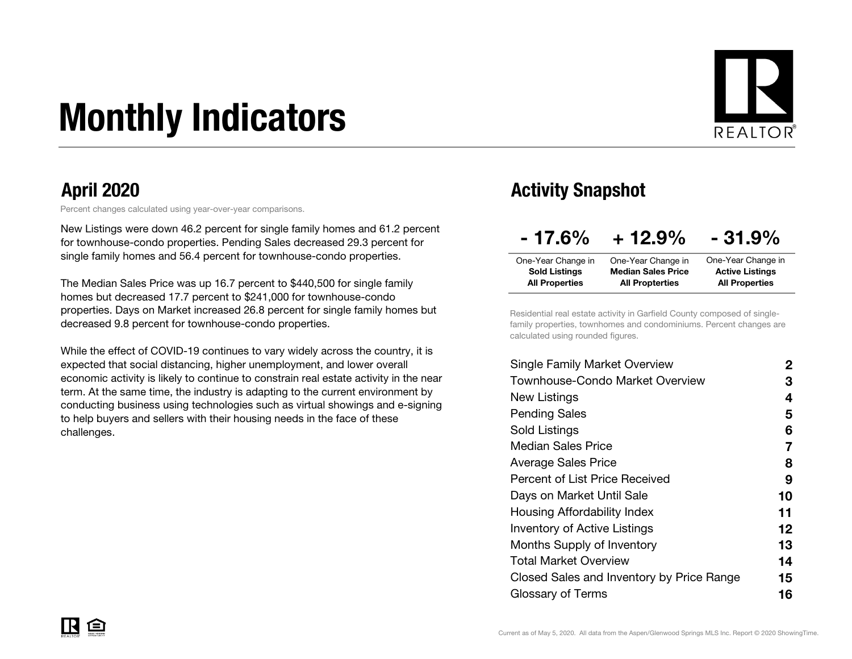# Monthly Indicators



Percent changes calculated using year-over-year comparisons.

New Listings were down 46.2 percent for single family homes and 61.2 percent for townhouse-condo properties. Pending Sales decreased 29.3 percent for single family homes and 56.4 percent for townhouse-condo properties.

The Median Sales Price was up 16.7 percent to \$440,500 for single family homes but decreased 17.7 percent to \$241,000 for townhouse-condo properties. Days on Market increased 26.8 percent for single family homes but decreased 9.8 percent for townhouse-condo properties.

While the effect of COVID-19 continues to vary widely across the country, it is expected that social distancing, higher unemployment, and lower overall economic activity is likely to continue to constrain real estate activity in the near term. At the same time, the industry is adapting to the current environment by conducting business using technologies such as virtual showings and e-signing to help buyers and sellers with their housing needs in the face of these challenges.

### April 2020 **Activity Snapshot**

| $-17.6\%$             | $+12.9%$                  | $-31.9%$               |
|-----------------------|---------------------------|------------------------|
| One-Year Change in    | One-Year Change in        | One-Year Change in     |
| <b>Sold Listings</b>  | <b>Median Sales Price</b> | <b>Active Listings</b> |
| <b>All Properties</b> | <b>All Propterties</b>    | <b>All Properties</b>  |

Residential real estate activity in Garfield County composed of singlefamily properties, townhomes and condominiums. Percent changes are calculated using rounded figures.

| Single Family Market Overview             | 2       |
|-------------------------------------------|---------|
| Townhouse-Condo Market Overview           | З       |
| New Listings                              | 4       |
| <b>Pending Sales</b>                      | 5       |
| Sold Listings                             | 6       |
| <b>Median Sales Price</b>                 | 7       |
| Average Sales Price                       | 8       |
| Percent of List Price Received            | 9       |
| Days on Market Until Sale                 | 10      |
| Housing Affordability Index               | 11      |
| <b>Inventory of Active Listings</b>       | $12 \,$ |
| <b>Months Supply of Inventory</b>         | 13      |
| Total Market Overview                     | 14      |
| Closed Sales and Inventory by Price Range | 15      |
| Glossary of Terms                         | 16      |
|                                           |         |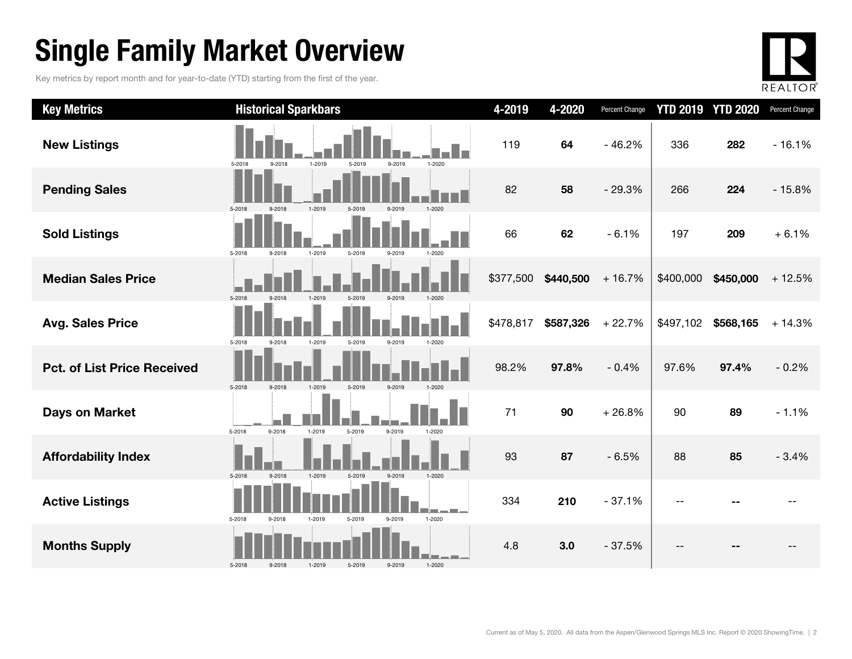### Single Family Market Overview

Key metrics by report month and for year-to-date (YTD) starting from the first of the year.



| <b>Key Metrics</b>                 | <b>Historical Sparkbars</b>                                      | 4-2019    | 4-2020    | Percent Change |           | <b>YTD 2019 YTD 2020</b> | Percent Change |
|------------------------------------|------------------------------------------------------------------|-----------|-----------|----------------|-----------|--------------------------|----------------|
| <b>New Listings</b>                | 9-2018<br>1-2019<br>5-2019<br>9-2019<br>1-2020<br>5-2018         | 119       | 64        | $-46.2%$       | 336       | 282                      | $-16.1%$       |
| <b>Pending Sales</b>               | 1-2019<br>5-2018<br>9-2018<br>9-2019<br>$1 - 2020$<br>5-2019     | 82        | 58        | $-29.3%$       | 266       | 224                      | $-15.8%$       |
| <b>Sold Listings</b>               | 5-2018<br>$9 - 2018$<br>1-2019<br>5-2019<br>9-2019<br>1-2020     | 66        | 62        | $-6.1%$        | 197       | 209                      | $+6.1%$        |
| <b>Median Sales Price</b>          | 5-2018<br>9-2018<br>1-2019<br>5-2019<br>9-2019<br>1-2020         | \$377,500 | \$440,500 | $+16.7%$       | \$400,000 | \$450,000                | $+12.5%$       |
| <b>Avg. Sales Price</b>            | 5-2018<br>9-2018<br>1-2019<br>5-2019<br>9-2019<br>1-2020         | \$478,817 | \$587,326 | $+22.7%$       | \$497,102 | \$568,165                | $+14.3%$       |
| <b>Pct. of List Price Received</b> | 5-2018<br>9-2018<br>1-2019<br>5-2019<br>9-2019                   | 98.2%     | 97.8%     | $-0.4%$        | 97.6%     | 97.4%                    | $-0.2%$        |
| <b>Days on Market</b>              | 9-2018<br>1-2019<br>5-2018<br>5-2019<br>9-2019<br>1-2020         | 71        | 90        | $+26.8%$       | 90        | 89                       | $-1.1%$        |
| <b>Affordability Index</b>         | $9 - 2018$<br>1-2019<br>5-2019<br>9-2019<br>$1 - 2020$<br>5-2018 | 93        | 87        | $-6.5%$        | 88        | 85                       | $-3.4%$        |
| <b>Active Listings</b>             | 5-2018<br>1-2019<br>1-2020<br>9-2018<br>5-2019<br>9-2019         | 334       | 210       | $-37.1%$       |           |                          |                |
| <b>Months Supply</b>               | 5-2018<br>9-2019<br>$1 - 2020$<br>9-2018<br>1-2019<br>5-2019     | 4.8       | 3.0       | $-37.5%$       |           |                          |                |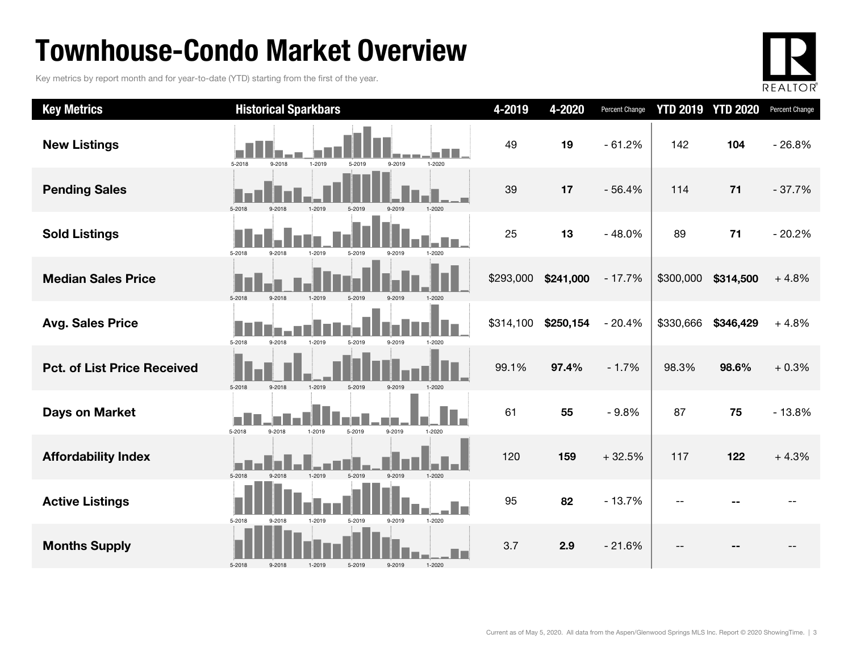### Townhouse-Condo Market Overview

Key metrics by report month and for year-to-date (YTD) starting from the first of the year.



| <b>Key Metrics</b>                 | <b>Historical Sparkbars</b>                                      | 4-2019    | 4-2020    | Percent Change |           | <b>YTD 2019 YTD 2020</b> | Percent Change |
|------------------------------------|------------------------------------------------------------------|-----------|-----------|----------------|-----------|--------------------------|----------------|
| <b>New Listings</b>                | 5-2018<br>9-2018<br>1-2019<br>5-2019<br>9-2019<br>1-2020         | 49        | 19        | $-61.2%$       | 142       | 104                      | $-26.8%$       |
| <b>Pending Sales</b>               | $1 - 2020$<br>5-2018                                             | 39        | 17        | $-56.4%$       | 114       | $71$                     | $-37.7%$       |
| <b>Sold Listings</b>               | 5-2018<br>9-2018<br>1-2019<br>5-2019<br>9-2019<br>1-2020         | 25        | 13        | $-48.0%$       | 89        | 71                       | $-20.2%$       |
| <b>Median Sales Price</b>          | 5-2018<br>9-2018<br>1-2019<br>5-2019                             | \$293,000 | \$241,000 | $-17.7%$       | \$300,000 | \$314,500                | $+4.8%$        |
| <b>Avg. Sales Price</b>            | 5-2018<br>9-2018<br>1-2019<br>5-2019<br>9-2019<br>1-2020         | \$314,100 | \$250,154 | $-20.4%$       | \$330,666 | \$346,429                | $+4.8%$        |
| <b>Pct. of List Price Received</b> | 5-2018<br>$9 - 2018$<br>9-2019<br>1-2019<br>5-2019               | 99.1%     | 97.4%     | $-1.7%$        | 98.3%     | 98.6%                    | $+0.3%$        |
| <b>Days on Market</b>              | i I<br>9-2019<br>5-2018<br>9-2018<br>1-2019<br>5-2019<br>1-2020  | 61        | 55        | $-9.8%$        | 87        | 75                       | $-13.8%$       |
| <b>Affordability Index</b>         | 5-2018<br>1-2019<br>5-2019<br>9-2019<br>$1 - 2020$<br>9.2018     | 120       | 159       | $+32.5%$       | 117       | 122                      | $+4.3%$        |
| <b>Active Listings</b>             | 1-2019<br>9-2019<br>$1 - 2020$<br>5-2018<br>$9 - 2018$<br>5-2019 | 95        | 82        | $-13.7%$       | $-$       |                          |                |
| <b>Months Supply</b>               | $1 - 2020$<br>5-2018<br>9-2019<br>$9 - 2018$<br>1-2019<br>5-2019 | 3.7       | 2.9       | $-21.6%$       | --        |                          |                |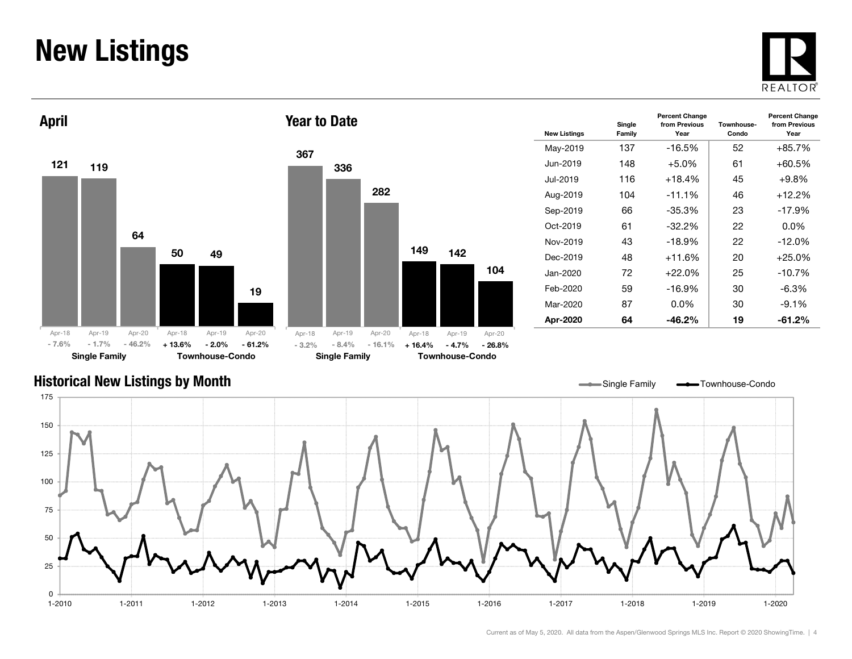### New Listings







| <b>New Listings</b> | Single<br>Family | <b>Percent Change</b><br>from Previous<br>Year | Townhouse-<br>Condo | <b>Percent Change</b><br>from Previous<br>Year |
|---------------------|------------------|------------------------------------------------|---------------------|------------------------------------------------|
| May-2019            | 137              | $-16.5%$                                       | 52                  | $+85.7%$                                       |
| Jun-2019            | 148              | $+5.0%$                                        | 61                  | +60.5%                                         |
| Jul-2019.           | 116              | $+18.4%$                                       | 45                  | $+9.8\%$                                       |
| Aug-2019            | 104              | $-11.1%$                                       | 46                  | $+12.2%$                                       |
| Sep-2019            | 66               | $-35.3%$                                       | 23                  | $-17.9%$                                       |
| $Oct-2019$          | 61               | $-32.2\%$                                      | 22                  | $0.0\%$                                        |
| Nov-2019            | 43               | $-18.9%$                                       | 22                  | $-12.0%$                                       |
| Dec-2019            | 48               | $+11.6%$                                       | 20                  | $+25.0%$                                       |
| Jan-2020.           | 72               | $+22.0%$                                       | 25                  | $-10.7%$                                       |
| Feb-2020            | 59               | $-16.9%$                                       | 30                  | $-6.3\%$                                       |
| Mar-2020            | 87               | $0.0\%$                                        | 30                  | $-9.1%$                                        |
| Apr-2020            | 64               | $-46.2%$                                       | 19                  | $-61.2\%$                                      |

#### Historical New Listings by Month

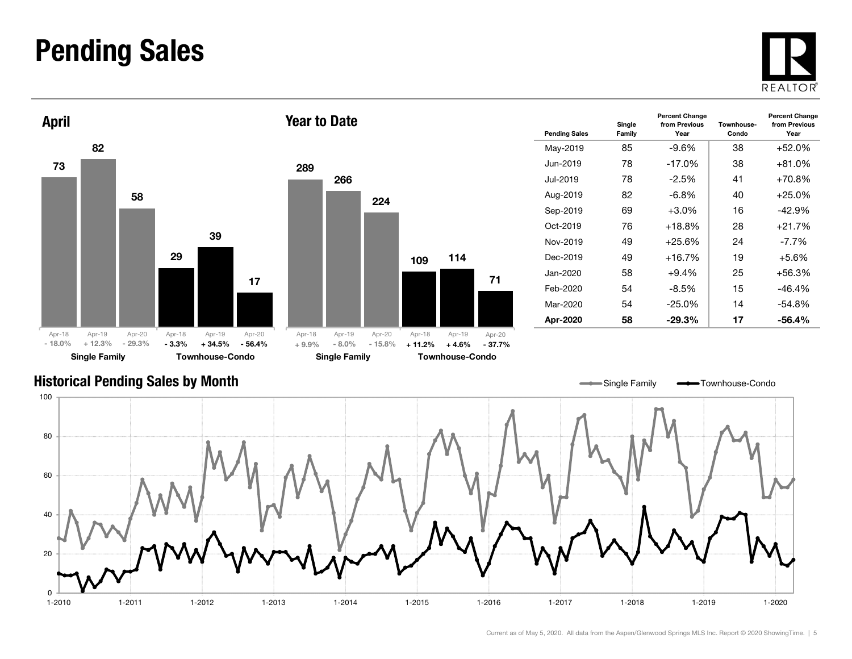### Pending Sales







| <b>Pending Sales</b> | Single<br>Family | <b>Percent Change</b><br>from Previous<br>Year | Townhouse-<br>Condo | <b>Percent Change</b><br>from Previous<br>Year |
|----------------------|------------------|------------------------------------------------|---------------------|------------------------------------------------|
| May-2019             | 85               | -9.6%                                          | 38                  | $+52.0%$                                       |
| Jun-2019             | 78               | $-17.0%$                                       | 38                  | +81.0%                                         |
| Jul-2019             | 78               | $-2.5\%$                                       | 41                  | $+70.8\%$                                      |
| Aug-2019             | 82               | -6.8%                                          | 40                  | +25.0%                                         |
| Sep-2019             | 69               | $+3.0\%$                                       | 16                  | $-42.9%$                                       |
| $Oct-2019$           | 76               | $+18.8%$                                       | 28                  | $+21.7%$                                       |
| Nov-2019             | 49               | $+25.6%$                                       | 24                  | -7.7%                                          |
| Dec-2019             | 49               | $+16.7%$                                       | 19                  | $+5.6\%$                                       |
| Jan-2020.            | 58               | $+9.4\%$                                       | 25                  | +56.3%                                         |
| Feb-2020             | 54               | -8.5%                                          | 15                  | $-46.4%$                                       |
| Mar-2020             | 54               | $-25.0%$                                       | 14                  | $-54.8%$                                       |
| Apr-2020             | 58               | $-29.3%$                                       | 17                  | $-56.4%$                                       |

#### Historical Pending Sales by Month

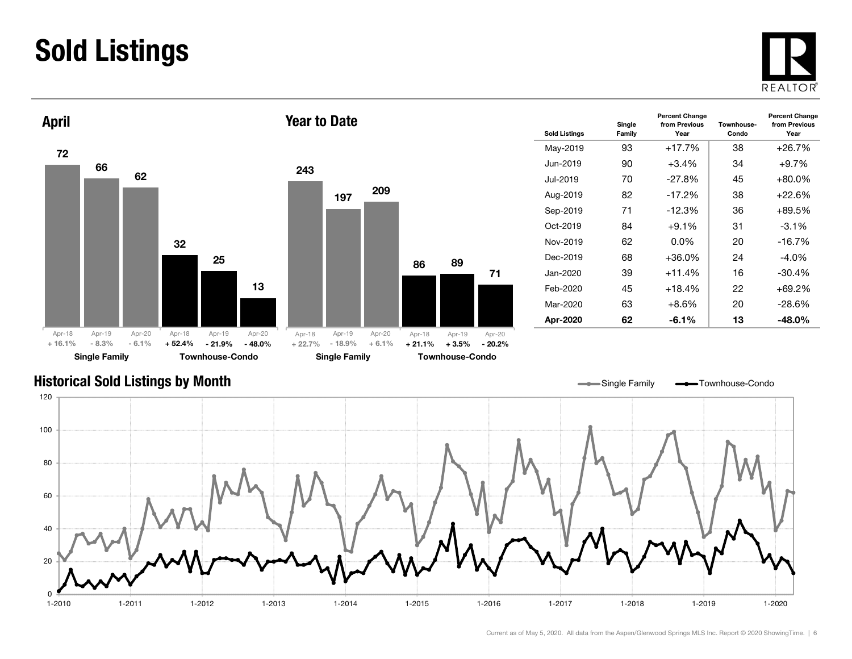### Sold Listings





| <b>Sold Listings</b> | Single<br>Family | <b>Percent Change</b><br>from Previous<br>Year | Townhouse-<br>Condo | <b>Percent Change</b><br>from Previous<br>Year |
|----------------------|------------------|------------------------------------------------|---------------------|------------------------------------------------|
| May-2019             | 93               | $+17.7%$                                       | 38                  | $+26.7%$                                       |
| Jun-2019             | 90               | $+3.4\%$                                       | 34                  | $+9.7%$                                        |
| Jul-2019.            | 70               | $-27.8%$                                       | 45                  | $+80.0%$                                       |
| Aug-2019             | 82               | $-17.2%$                                       | 38                  | $+22.6%$                                       |
| Sep-2019             | 71               | $-12.3%$                                       | 36                  | $+89.5%$                                       |
| $Oct-2019$           | 84               | $+9.1%$                                        | 31                  | $-3.1\%$                                       |
| Nov-2019             | 62               | $0.0\%$                                        | 20                  | $-16.7%$                                       |
| Dec-2019             | 68               | $+36.0\%$                                      | 24                  | $-4.0\%$                                       |
| Jan-2020             | 39               | $+11.4%$                                       | 16                  | $-30.4%$                                       |
| Feb-2020             | 45               | $+18.4%$                                       | 22                  | $+69.2%$                                       |
| Mar-2020             | 63               | $+8.6%$                                        | 20                  | $-28.6%$                                       |
| Apr-2020             | 62               | $-6.1\%$                                       | 13                  | $-48.0\%$                                      |

#### Historical Sold Listings by Month



71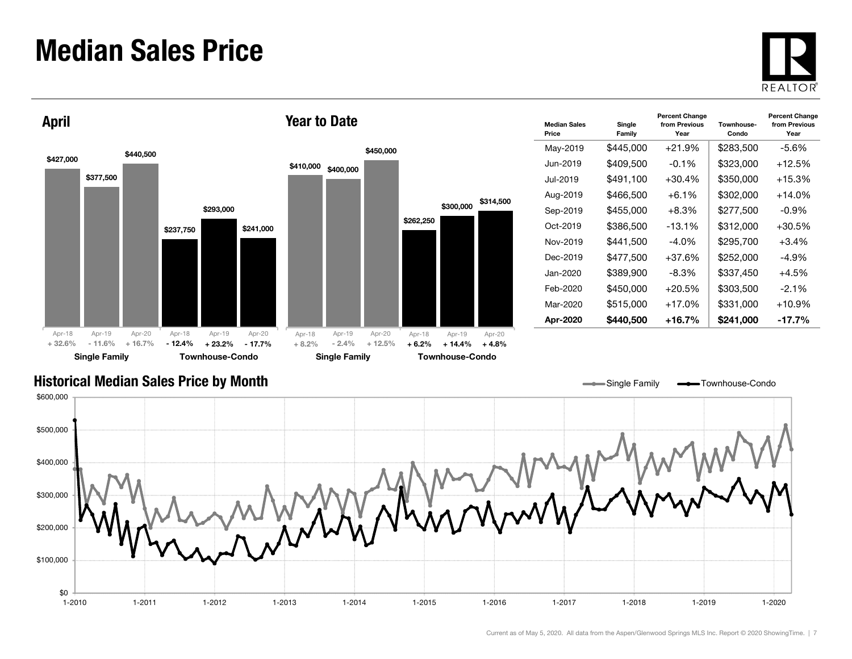### Median Sales Price





| <b>Median Sales</b><br>Price | Single<br>Family | <b>Percent Change</b><br>from Previous<br>Year | Townhouse-<br>Condo | <b>Percent Change</b><br>from Previous<br>Year |
|------------------------------|------------------|------------------------------------------------|---------------------|------------------------------------------------|
| May-2019                     | \$445,000        | +21.9%                                         | \$283,500           | -5.6%                                          |
| Jun-2019.                    | \$409,500        | $-0.1%$                                        | \$323,000           | $+12.5%$                                       |
| Jul-2019.                    | \$491,100        | $+30.4%$                                       | \$350,000           | $+15.3%$                                       |
| Aug-2019                     | \$466,500        | $+6.1\%$                                       | \$302,000           | $+14.0\%$                                      |
| Sep-2019                     | \$455,000        | $+8.3%$                                        | \$277,500           | $-0.9\%$                                       |
| Oct-2019                     | \$386,500        | $-13.1\%$                                      | \$312,000           | $+30.5\%$                                      |
| Nov-2019                     | \$441.500        | $-4.0\%$                                       | \$295,700           | $+3.4%$                                        |
| Dec-2019                     | \$477.500        | $+37.6%$                                       | \$252,000           | $-4.9%$                                        |
| Jan-2020.                    | \$389,900        | -8.3%                                          | \$337,450           | $+4.5%$                                        |
| Feb-2020                     | \$450,000        | $+20.5\%$                                      | \$303,500           | $-2.1%$                                        |
| Mar-2020                     | \$515,000        | $+17.0%$                                       | \$331,000           | $+10.9%$                                       |
| Apr-2020                     | \$440.500        | +16.7%                                         | \$241,000           | $-17.7\%$                                      |

Single Family **-** Townhouse-Condo

#### Historical Median Sales Price by Month

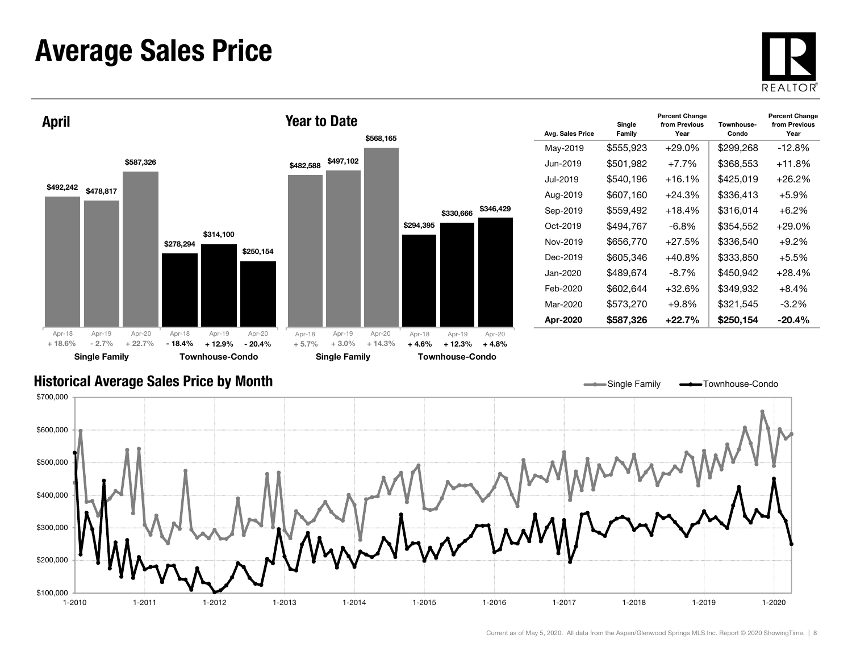### Average Sales Price





| Avg. Sales Price | Single<br>Family | <b>Percent Change</b><br>from Previous<br>Year | Townhouse-<br>Condo | <b>Percent Change</b><br>from Previous<br>Year |
|------------------|------------------|------------------------------------------------|---------------------|------------------------------------------------|
| May-2019         | \$555,923        | $+29.0%$                                       | \$299,268           | $-12.8%$                                       |
| Jun-2019         | \$501,982        | $+7.7%$                                        | \$368,553           | $+11.8%$                                       |
| Jul-2019         | \$540,196        | $+16.1%$                                       | \$425,019           | +26.2%                                         |
| Aug-2019         | \$607,160        | $+24.3%$                                       | \$336,413           | $+5.9%$                                        |
| Sep-2019         | \$559,492        | $+18.4%$                                       | \$316,014           | $+6.2\%$                                       |
| Oct-2019         | \$494.767        | -6.8%                                          | \$354,552           | $+29.0\%$                                      |
| Nov-2019         | \$656,770        | $+27.5%$                                       | \$336,540           | $+9.2%$                                        |
| Dec-2019         | \$605,346        | $+40.8%$                                       | \$333,850           | $+5.5%$                                        |
| Jan-2020         | \$489,674        | -8.7%                                          | \$450,942           | +28.4%                                         |
| Feb-2020         | \$602,644        | $+32.6%$                                       | \$349,932           | $+8.4%$                                        |
| Mar-2020         | \$573,270        | $+9.8\%$                                       | \$321,545           | $-3.2\%$                                       |
| Apr-2020         | \$587,326        | $+22.7%$                                       | \$250,154           | $-20.4\%$                                      |

#### Historical Average Sales Price by Month



\$330,666 \$346,429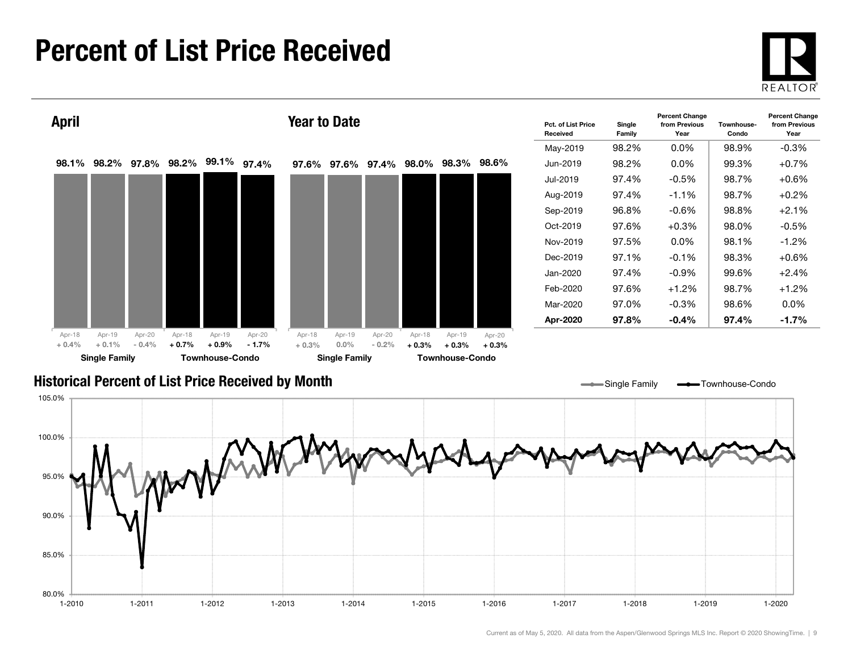### Percent of List Price Received





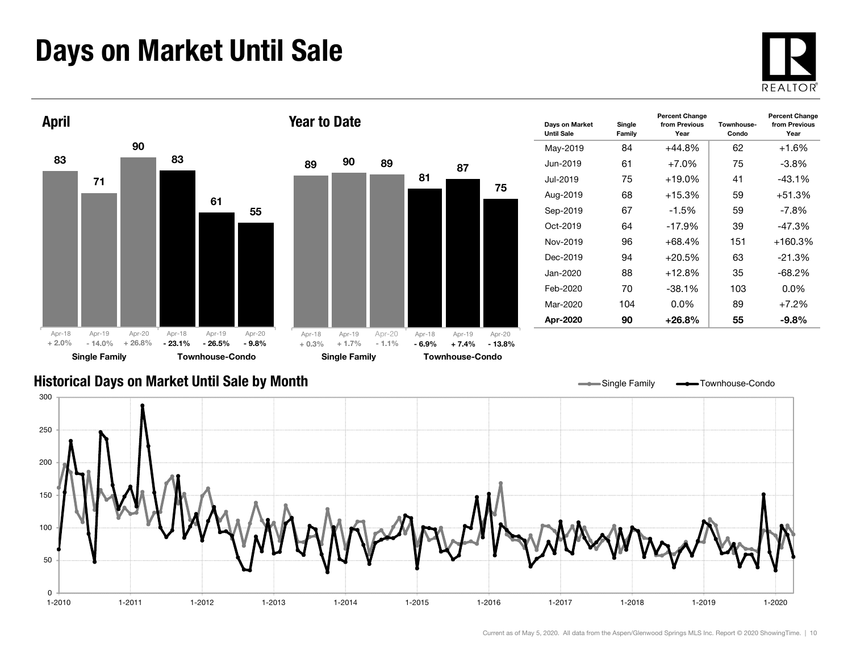### Days on Market Until Sale



Percent Change from Previous Year



#### Historical Days on Market Until Sale by Month



Single Family  $\longrightarrow$ Townhouse-Condo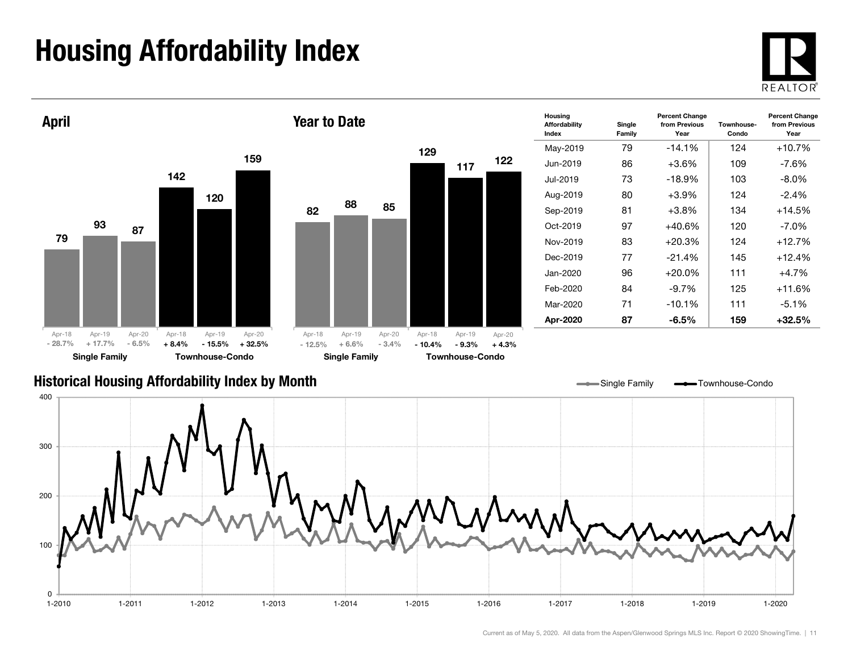## Housing Affordability Index



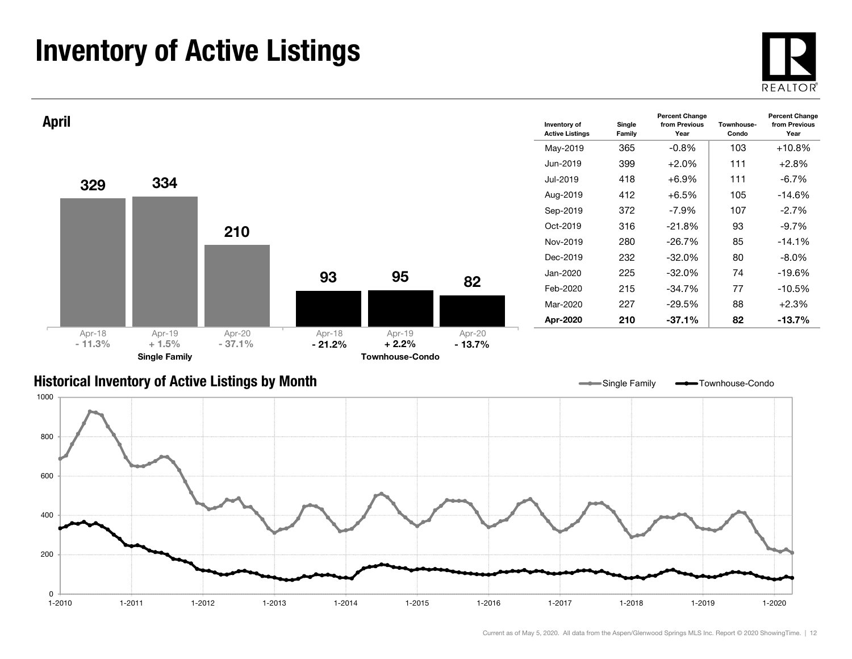### Inventory of Active Listings





#### Historical Inventory of Active Listings by Month

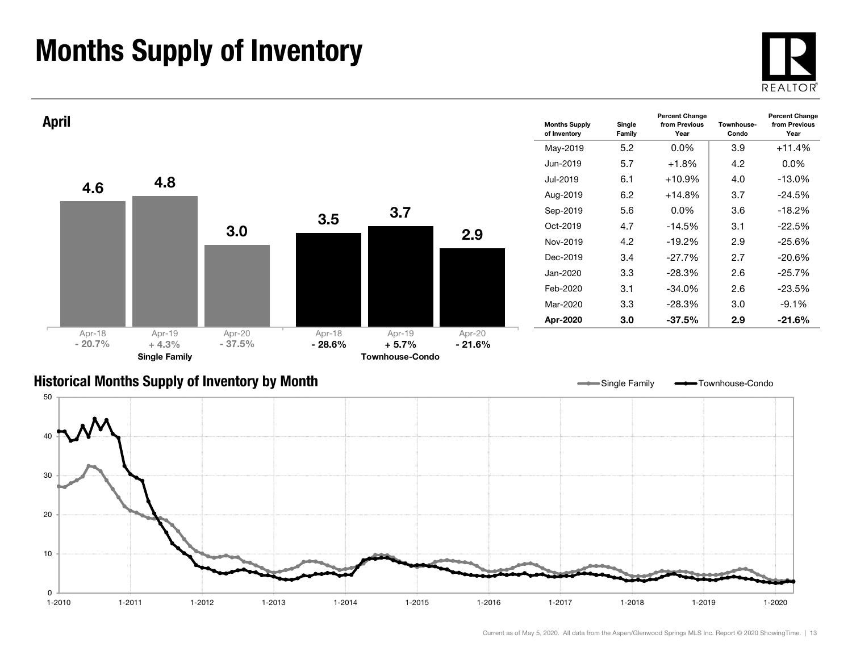### Months Supply of Inventory

0 $1 - 2010$ 

10



 $1 - 2020$ 



1-2010 1-2011 1-2012 1-2013 1-2014 1-2015 1-2016 1-2017 1-2018 1-2019 1-2020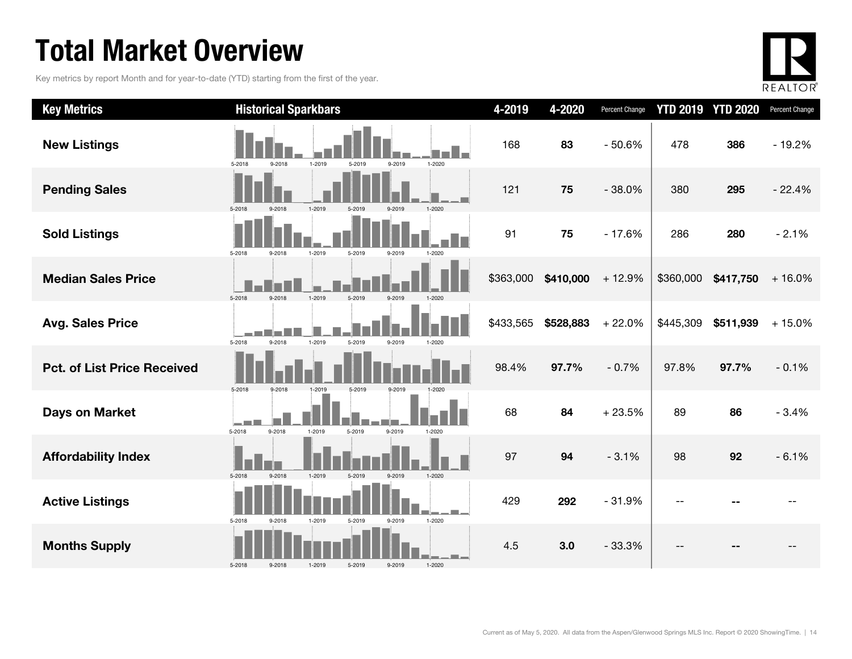### Total Market Overview

Key metrics by report Month and for year-to-date (YTD) starting from the first of the year.



| <b>Key Metrics</b>                 | <b>Historical Sparkbars</b>                                                                                    | 4-2019    | 4-2020    | Percent Change |           | <b>YTD 2019 YTD 2020</b> | Percent Change |
|------------------------------------|----------------------------------------------------------------------------------------------------------------|-----------|-----------|----------------|-----------|--------------------------|----------------|
| <b>New Listings</b>                | $1 - 2020$<br>5-2018<br>9-2018<br>1-2019<br>5-2019<br>9-2019                                                   | 168       | 83        | $-50.6%$       | 478       | 386                      | $-19.2%$       |
| <b>Pending Sales</b>               | $1 - 2020$<br>1-2019<br>5-2018<br>9-2018<br>5-2019<br>9-2019                                                   | 121       | 75        | $-38.0%$       | 380       | 295                      | $-22.4%$       |
| <b>Sold Listings</b>               | 5-2018<br>9-2018<br>1-2019<br>5-2019<br>9-2019<br>1-2020                                                       | 91        | 75        | $-17.6%$       | 286       | 280                      | $-2.1%$        |
| <b>Median Sales Price</b>          | 5-2018<br>9-2018<br>1-2019<br>9-2019<br>$1-202f$<br>5-2019                                                     | \$363,000 | \$410,000 | $+12.9%$       | \$360,000 | \$417,750                | $+16.0%$       |
| <b>Avg. Sales Price</b>            | 5-2018<br>1-2019<br>9-2018<br>5-2019<br>9-2019<br>1-2020                                                       | \$433,565 | \$528,883 | $+22.0%$       | \$445,309 | \$511,939                | $+15.0%$       |
| <b>Pct. of List Price Received</b> |                                                                                                                | 98.4%     | 97.7%     | $-0.7%$        | 97.8%     | 97.7%                    | $-0.1%$        |
| <b>Days on Market</b>              | 5-2018<br>9-2018<br>1-2019<br>5-2019<br>9-2019<br>5-2018<br>9-2018<br>$1 - 2019$<br>5-2019<br>9-2019<br>1-2020 | 68        | 84        | $+23.5%$       | 89        | 86                       | $-3.4%$        |
| <b>Affordability Index</b>         | 1-2019<br>5-2018<br>$9 - 2018$<br>5-2019<br>9-2019<br>$1 - 2020$                                               | 97        | 94        | $-3.1%$        | 98        | 92                       | $-6.1%$        |
| <b>Active Listings</b>             | 1-2020<br>5-2018<br>9-2019<br>9-2018<br>1-2019<br>5-2019                                                       | 429       | 292       | $-31.9%$       |           |                          |                |
| <b>Months Supply</b>               | 1-2020<br>5-2018<br>9-2018<br>1-2019<br>5-2019<br>9-2019                                                       | 4.5       | 3.0       | $-33.3%$       |           |                          |                |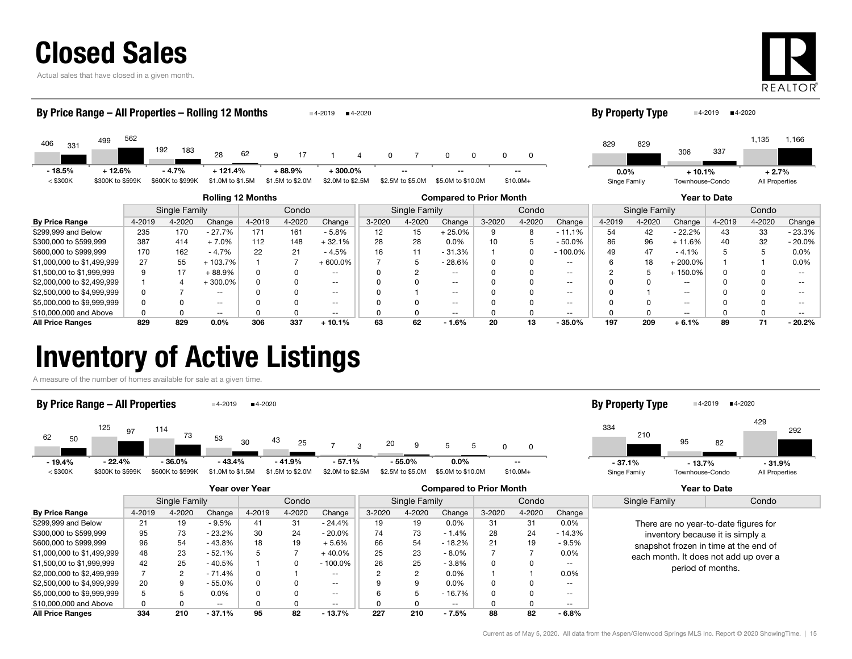

Actual sales that have closed in a given month.



|                                                                            | By Price Range – All Properties – Rolling 12 Months<br>■4-2020<br>4-2019 |        |     |                             |                               |        |                              |                               |        |                        |                   |        |                            | <b>By Property Type</b> |              |               | ■4-2020<br>4-2019 |        |                |          |
|----------------------------------------------------------------------------|--------------------------------------------------------------------------|--------|-----|-----------------------------|-------------------------------|--------|------------------------------|-------------------------------|--------|------------------------|-------------------|--------|----------------------------|-------------------------|--------------|---------------|-------------------|--------|----------------|----------|
| 406<br>331                                                                 | 499                                                                      | 562    | 192 | 183                         | 28                            | 62     | 9<br>17                      |                               | 0<br>Δ |                        | 0<br>0            | 0      | 0                          |                         | 829          | 829           | 306               | 337    | 1,135          | 1,166    |
| $-18.5%$<br>$<$ \$300K                                                     | $+12.6%$<br>\$300K to \$599K                                             |        |     | $-4.7%$<br>\$600K to \$999K | $+121.4%$<br>\$1.0M to \$1.5M |        | $+88.9%$<br>\$1.5M to \$2.0M | $+300.0%$<br>\$2.0M to \$2.5M |        | --<br>\$2.5M to \$5.0M | \$5.0M to \$10.0M |        | $\sim$ $\sim$<br>$$10.0M+$ |                         | $0.0\%$      |               | $+10.1%$          |        | $+2.7%$        |          |
|                                                                            |                                                                          |        |     |                             |                               |        |                              |                               |        |                        |                   |        |                            |                         | Singe Family |               | Townhouse-Condo   |        | All Properties |          |
| <b>Rolling 12 Months</b><br><b>Compared to Prior Month</b><br>Year to Date |                                                                          |        |     |                             |                               |        |                              |                               |        |                        |                   |        |                            |                         |              |               |                   |        |                |          |
|                                                                            |                                                                          |        |     | Single Family               |                               |        | Condo                        |                               |        | Single Family          |                   |        | Condo                      |                         |              | Single Family |                   |        | Condo          |          |
| <b>By Price Range</b>                                                      |                                                                          | 4-2019 |     | 4-2020                      | Change                        | 4-2019 | 4-2020                       | Change                        | 3-2020 | 4-2020                 | Change            | 3-2020 | 4-2020                     | Change                  | 4-2019       | 4-2020        | Change            | 4-2019 | 4-2020         | Change   |
| \$299,999 and Below                                                        |                                                                          | 235    |     | 170                         | $-27.7%$                      | 171    | 161                          | $-5.8%$                       | 12     | 15                     | $+25.0%$          | 9      | 8                          | $-11.1%$                | 54           | 42            | $-22.2%$          | 43     | 33             | $-23.3%$ |
| \$300,000 to \$599,999                                                     |                                                                          | 387    |     | 414                         | $+7.0%$                       | 112    | 148                          | $+32.1%$                      | 28     | 28                     | $0.0\%$           | 10     | 5                          | $-50.0%$                | 86           | 96            | $+11.6%$          | 40     | 32             | $-20.0%$ |
| \$600,000 to \$999,999                                                     |                                                                          | 170    |     | 162                         | $-4.7%$                       | 22     | 21                           | $-4.5%$                       | 16     | 11                     | $-31.3%$          |        | 0                          | $-100.0%$               | 49           | 47            | $-4.1%$           |        |                | 0.0%     |
| \$1,000,000 to \$1,499,999                                                 |                                                                          | 27     |     | 55                          | $+103.7%$                     |        |                              | $+600.0\%$                    |        | 5                      | $-28.6%$          |        | <sup>0</sup>               | $\sim$ $\sim$           |              | 18            | $+200.0\%$        |        |                | 0.0%     |
| \$1,500,00 to \$1,999,999                                                  |                                                                          | q      |     | 17                          | + 88.9%                       | 0      |                              | $\qquad \qquad -$             |        | 2                      | $\frac{1}{2}$     |        |                            | $\sim$ $\sim$           |              | 5             | $+150.0%$         |        |                | --       |
| \$2,000,000 to \$2,499,999                                                 |                                                                          |        |     |                             | $+300.0%$                     |        |                              | $- -$                         |        |                        | $\frac{1}{2}$     |        |                            | $- -$                   |              |               | --                |        |                |          |

\$2,500,000 to \$4,999,999 0 7 -- 0 0 -- 0 1 -- 0 0 -- 0 1 -- 0 0 -- \$5,000,000 to \$9,999,999 **distribution of the CONT CONTENT CONTENT CONTENT CONTENT CONTENT CONTENT CONTENT CONTENT CONTENT CONTENT CONTENT CONTENT CONTENT CONTENT CONTENT CONTENT CONTENT CONTENT CONTENT CONTENT CONTENT CON** \$10,000,000 and Above 0 0 -- 0 0 -- 0 0 -- 0 0 -- 0 0 -- 0 0 -- All Price Ranges 829 829 0.0% 306 337 + 10.1% 63 62 - 1.6% 20 13 - 35.0% 197 209 + 6.1% 89 71 - 20.2%

### Inventory of Active Listings

A measure of the number of homes available for sale at a given time.

#### By Price Range – All Properties  $4-2019$   $4-2020$



#### 33495429210 82292Singe Family Townhouse-Condo All Properties By Property Type  $4-2019$   $4-2020$ - 13.7% - 31.9%

|                            |        |               |          | Year over Year |        |            |               |        | <b>Compared to Prior Month</b> |        |        | <b>Year to Date</b> |                                       |                                       |  |  |  |
|----------------------------|--------|---------------|----------|----------------|--------|------------|---------------|--------|--------------------------------|--------|--------|---------------------|---------------------------------------|---------------------------------------|--|--|--|
|                            |        | Single Family |          |                | Condo  |            | Single Family |        |                                |        | Condo  |                     | Single Family                         | Condo                                 |  |  |  |
| <b>By Price Range</b>      | 4-2019 | 4-2020        | Change   | 4-2019         | 4-2020 | Change     | 3-2020        | 4-2020 | Change                         | 3-2020 | 4-2020 | Change              |                                       |                                       |  |  |  |
| \$299,999 and Below        | 21     | 19            | $-9.5%$  | 41             | 31     | $-24.4%$   | 19            | 19     | $0.0\%$                        | 31     | 31     | $0.0\%$             |                                       | There are no year-to-date figures for |  |  |  |
| \$300,000 to \$599,999     | 95     | 73            | $-23.2%$ | 30             | 24     | $-20.0\%$  | 74            | 73     | $-1.4%$                        | 28     | 24     | $-14.3%$            | inventory because it is simply a      |                                       |  |  |  |
| \$600,000 to \$999,999     | 96     | 54            | $-43.8%$ | 18             | 19     | $+5.6%$    | 66            | 54     | $-18.2%$                       | 21     | 19     | $-9.5%$             | snapshot frozen in time at the end of |                                       |  |  |  |
| \$1,000,000 to \$1,499,999 | 48     | 23            | $-52.1%$ |                |        | $+40.0%$   | 25            | 23     | $-8.0\%$                       |        |        | $0.0\%$             |                                       | each month. It does not add up over a |  |  |  |
| \$1,500,00 to \$1,999,999  | 42     | 25            | $-40.5%$ |                |        | $-100.0\%$ | 26            | 25     | $-3.8%$                        |        |        | $- -$               |                                       | period of months.                     |  |  |  |
| \$2,000,000 to \$2,499,999 |        |               | $-71.4%$ |                |        | $- -$      |               | 2      | $0.0\%$                        |        |        | $0.0\%$             |                                       |                                       |  |  |  |
| \$2,500,000 to \$4,999,999 | 20     | 9             | - 55.0%  |                |        | $- -$      |               | 9      | $0.0\%$                        |        |        | $- -$               |                                       |                                       |  |  |  |
| \$5,000,000 to \$9,999,999 | đ      |               | 0.0%     |                |        | $- -$      |               | h      | $-16.7%$                       |        |        | $- -$               |                                       |                                       |  |  |  |
| \$10,000,000 and Above     |        |               | $- -$    |                |        | $- -$      |               |        | $- -$                          |        |        | $- -$               |                                       |                                       |  |  |  |
| <b>All Price Ranges</b>    | 334    | 210           | $-37.1%$ | 95             | 82     | $-13.7%$   | 227           | 210    | $-7.5%$                        | 88     | 82     | $-6.8%$             |                                       |                                       |  |  |  |